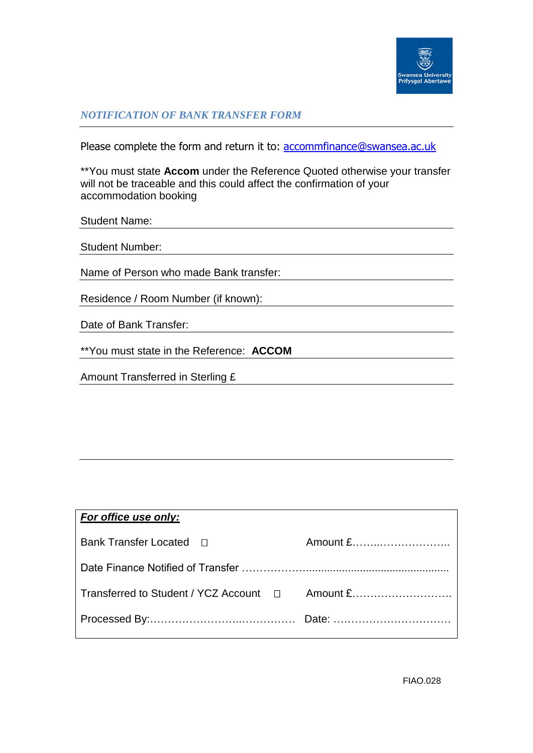

## *NOTIFICATION OF BANK TRANSFER FORM*

Please complete the form and return it to: **accommfinance@swansea.ac.uk** 

\*\*You must state **Accom** under the Reference Quoted otherwise your transfer will not be traceable and this could affect the confirmation of your accommodation booking

| <b>Student Number:</b>                 |  |  |
|----------------------------------------|--|--|
|                                        |  |  |
| Name of Person who made Bank transfer: |  |  |
|                                        |  |  |
| Residence / Room Number (if known):    |  |  |
|                                        |  |  |
| Date of Bank Transfer:                 |  |  |

\*\*You must state in the Reference: **ACCOM** 

Amount Transferred in Sterling £

Student Name:

| For office use only:                            |          |
|-------------------------------------------------|----------|
| Bank Transfer Located □                         | Amount £ |
|                                                 |          |
| Transferred to Student / YCZ Account □ Amount £ |          |
|                                                 |          |